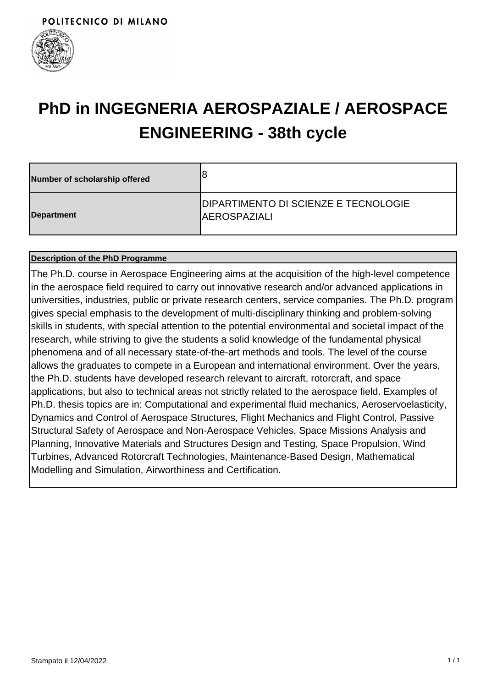

# **PhD in INGEGNERIA AEROSPAZIALE / AEROSPACE ENGINEERING - 38th cycle**

| Number of scholarship offered | 8                                                                   |
|-------------------------------|---------------------------------------------------------------------|
| Department                    | <b>DIPARTIMENTO DI SCIENZE E TECNOLOGIE</b><br><b>IAEROSPAZIALI</b> |

### **Description of the PhD Programme**

The Ph.D. course in Aerospace Engineering aims at the acquisition of the high-level competence in the aerospace field required to carry out innovative research and/or advanced applications in universities, industries, public or private research centers, service companies. The Ph.D. program gives special emphasis to the development of multi-disciplinary thinking and problem-solving skills in students, with special attention to the potential environmental and societal impact of the research, while striving to give the students a solid knowledge of the fundamental physical phenomena and of all necessary state-of-the-art methods and tools. The level of the course allows the graduates to compete in a European and international environment. Over the years, the Ph.D. students have developed research relevant to aircraft, rotorcraft, and space applications, but also to technical areas not strictly related to the aerospace field. Examples of Ph.D. thesis topics are in: Computational and experimental fluid mechanics, Aeroservoelasticity, Dynamics and Control of Aerospace Structures, Flight Mechanics and Flight Control, Passive Structural Safety of Aerospace and Non-Aerospace Vehicles, Space Missions Analysis and Planning, Innovative Materials and Structures Design and Testing, Space Propulsion, Wind Turbines, Advanced Rotorcraft Technologies, Maintenance-Based Design, Mathematical Modelling and Simulation, Airworthiness and Certification.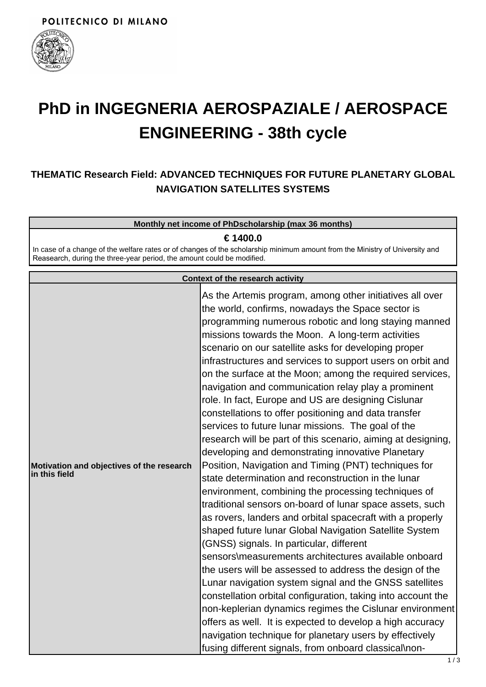

# **PhD in INGEGNERIA AEROSPAZIALE / AEROSPACE ENGINEERING - 38th cycle**

# **THEMATIC Research Field: ADVANCED TECHNIQUES FOR FUTURE PLANETARY GLOBAL NAVIGATION SATELLITES SYSTEMS**

#### **Monthly net income of PhDscholarship (max 36 months)**

#### **€ 1400.0**

In case of a change of the welfare rates or of changes of the scholarship minimum amount from the Ministry of University and Reasearch, during the three-year period, the amount could be modified.

|                                                            | <b>Context of the research activity</b>                                                                                                                                                                                                                                                                                                                                                                                                                                                                                                                                                                                                                                                                                                                                                                                                                                                                                                                                                                                                                                                                                                                                                                                                                                                                                                                                                                                                                                                                                                                                                                                                                      |
|------------------------------------------------------------|--------------------------------------------------------------------------------------------------------------------------------------------------------------------------------------------------------------------------------------------------------------------------------------------------------------------------------------------------------------------------------------------------------------------------------------------------------------------------------------------------------------------------------------------------------------------------------------------------------------------------------------------------------------------------------------------------------------------------------------------------------------------------------------------------------------------------------------------------------------------------------------------------------------------------------------------------------------------------------------------------------------------------------------------------------------------------------------------------------------------------------------------------------------------------------------------------------------------------------------------------------------------------------------------------------------------------------------------------------------------------------------------------------------------------------------------------------------------------------------------------------------------------------------------------------------------------------------------------------------------------------------------------------------|
| Motivation and objectives of the research<br>in this field | As the Artemis program, among other initiatives all over<br>the world, confirms, nowadays the Space sector is<br>programming numerous robotic and long staying manned<br>missions towards the Moon. A long-term activities<br>scenario on our satellite asks for developing proper<br>infrastructures and services to support users on orbit and<br>on the surface at the Moon; among the required services,<br>navigation and communication relay play a prominent<br>role. In fact, Europe and US are designing Cislunar<br>constellations to offer positioning and data transfer<br>services to future lunar missions. The goal of the<br>research will be part of this scenario, aiming at designing,<br>developing and demonstrating innovative Planetary<br>Position, Navigation and Timing (PNT) techniques for<br>state determination and reconstruction in the lunar<br>environment, combining the processing techniques of<br>traditional sensors on-board of lunar space assets, such<br>as rovers, landers and orbital spacecraft with a properly<br>shaped future lunar Global Navigation Satellite System<br>(GNSS) signals. In particular, different<br>sensors\measurements architectures available onboard<br>the users will be assessed to address the design of the<br>Lunar navigation system signal and the GNSS satellites<br>constellation orbital configuration, taking into account the<br>non-keplerian dynamics regimes the Cislunar environment<br>offers as well. It is expected to develop a high accuracy<br>navigation technique for planetary users by effectively<br>fusing different signals, from onboard classical\non- |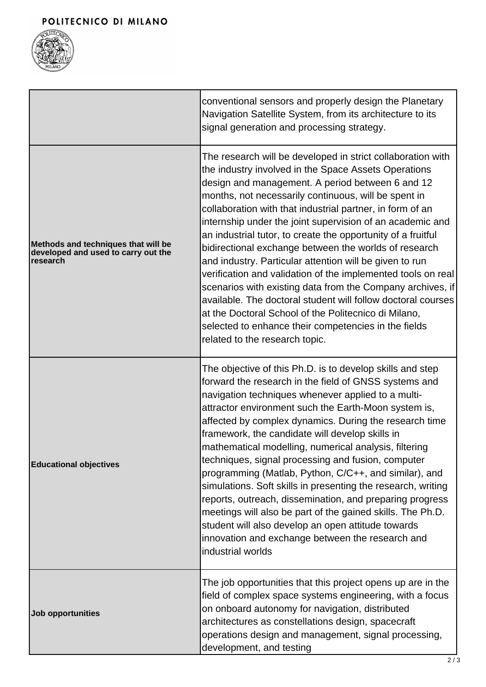

|                                                                                        | conventional sensors and properly design the Planetary<br>Navigation Satellite System, from its architecture to its<br>signal generation and processing strategy.                                                                                                                                                                                                                                                                                                                                                                                                                                                                                                                                                                                                                                                                                                                             |
|----------------------------------------------------------------------------------------|-----------------------------------------------------------------------------------------------------------------------------------------------------------------------------------------------------------------------------------------------------------------------------------------------------------------------------------------------------------------------------------------------------------------------------------------------------------------------------------------------------------------------------------------------------------------------------------------------------------------------------------------------------------------------------------------------------------------------------------------------------------------------------------------------------------------------------------------------------------------------------------------------|
| Methods and techniques that will be<br>developed and used to carry out the<br>research | The research will be developed in strict collaboration with<br>the industry involved in the Space Assets Operations<br>design and management. A period between 6 and 12<br>months, not necessarily continuous, will be spent in<br>collaboration with that industrial partner, in form of an<br>internship under the joint supervision of an academic and<br>an industrial tutor, to create the opportunity of a fruitful<br>bidirectional exchange between the worlds of research<br>and industry. Particular attention will be given to run<br>verification and validation of the implemented tools on real<br>scenarios with existing data from the Company archives, if<br>available. The doctoral student will follow doctoral courses<br>at the Doctoral School of the Politecnico di Milano,<br>selected to enhance their competencies in the fields<br>related to the research topic. |
| <b>Educational objectives</b>                                                          | The objective of this Ph.D. is to develop skills and step<br>forward the research in the field of GNSS systems and<br>navigation techniques whenever applied to a multi-<br>attractor environment such the Earth-Moon system is,<br>affected by complex dynamics. During the research time<br>framework, the candidate will develop skills in<br>mathematical modelling, numerical analysis, filtering<br>techniques, signal processing and fusion, computer<br>programming (Matlab, Python, C/C++, and similar), and<br>simulations. Soft skills in presenting the research, writing<br>reports, outreach, dissemination, and preparing progress<br>meetings will also be part of the gained skills. The Ph.D.<br>student will also develop an open attitude towards<br>innovation and exchange between the research and<br>industrial worlds                                                |
| <b>Job opportunities</b>                                                               | The job opportunities that this project opens up are in the<br>field of complex space systems engineering, with a focus<br>on onboard autonomy for navigation, distributed<br>architectures as constellations design, spacecraft<br>operations design and management, signal processing,<br>development, and testing                                                                                                                                                                                                                                                                                                                                                                                                                                                                                                                                                                          |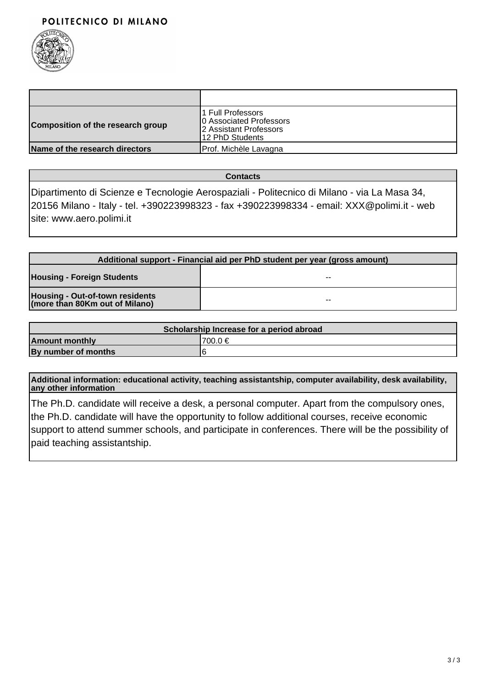### POLITECNICO DI MILANO



| Composition of the research group | 1 Full Professors<br>10 Associated Professors<br>2 Assistant Professors<br>12 PhD Students |
|-----------------------------------|--------------------------------------------------------------------------------------------|
| Name of the research directors    | Prof. Michèle Lavagna                                                                      |

**Contacts**

Dipartimento di Scienze e Tecnologie Aerospaziali - Politecnico di Milano - via La Masa 34, 20156 Milano - Italy - tel. +390223998323 - fax +390223998334 - email: XXX@polimi.it - web site: www.aero.polimi.it

| Additional support - Financial aid per PhD student per year (gross amount) |    |
|----------------------------------------------------------------------------|----|
| <b>Housing - Foreign Students</b>                                          | -- |
| Housing - Out-of-town residents<br>(more than 80Km out of Milano)          | -- |

| Scholarship Increase for a period abroad |          |
|------------------------------------------|----------|
| <b>Amount monthly</b>                    | '700.0 € |
| By number of months                      |          |

**Additional information: educational activity, teaching assistantship, computer availability, desk availability, any other information**

The Ph.D. candidate will receive a desk, a personal computer. Apart from the compulsory ones, the Ph.D. candidate will have the opportunity to follow additional courses, receive economic support to attend summer schools, and participate in conferences. There will be the possibility of paid teaching assistantship.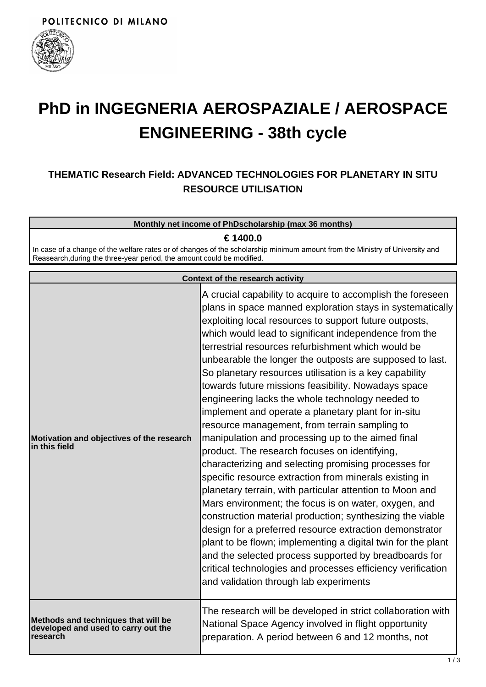

# **PhD in INGEGNERIA AEROSPAZIALE / AEROSPACE ENGINEERING - 38th cycle**

# **THEMATIC Research Field: ADVANCED TECHNOLOGIES FOR PLANETARY IN SITU RESOURCE UTILISATION**

#### **Monthly net income of PhDscholarship (max 36 months)**

**€ 1400.0**

In case of a change of the welfare rates or of changes of the scholarship minimum amount from the Ministry of University and Reasearch,during the three-year period, the amount could be modified.

|                                                                                        | Context of the research activity                                                                                                                                                                                                                                                                                                                                                                                                                                                                                                                                                                                                                                                                                                                                                                                                                                                                                                                                                                                                                                                                                                                                                                                                                                                                                                                |
|----------------------------------------------------------------------------------------|-------------------------------------------------------------------------------------------------------------------------------------------------------------------------------------------------------------------------------------------------------------------------------------------------------------------------------------------------------------------------------------------------------------------------------------------------------------------------------------------------------------------------------------------------------------------------------------------------------------------------------------------------------------------------------------------------------------------------------------------------------------------------------------------------------------------------------------------------------------------------------------------------------------------------------------------------------------------------------------------------------------------------------------------------------------------------------------------------------------------------------------------------------------------------------------------------------------------------------------------------------------------------------------------------------------------------------------------------|
| Motivation and objectives of the research<br>in this field                             | A crucial capability to acquire to accomplish the foreseen<br>plans in space manned exploration stays in systematically<br>exploiting local resources to support future outposts,<br>which would lead to significant independence from the<br>terrestrial resources refurbishment which would be<br>unbearable the longer the outposts are supposed to last.<br>So planetary resources utilisation is a key capability<br>towards future missions feasibility. Nowadays space<br>engineering lacks the whole technology needed to<br>implement and operate a planetary plant for in-situ<br>resource management, from terrain sampling to<br>manipulation and processing up to the aimed final<br>product. The research focuses on identifying,<br>characterizing and selecting promising processes for<br>specific resource extraction from minerals existing in<br>planetary terrain, with particular attention to Moon and<br>Mars environment; the focus is on water, oxygen, and<br>construction material production; synthesizing the viable<br>design for a preferred resource extraction demonstrator<br>plant to be flown; implementing a digital twin for the plant<br>and the selected process supported by breadboards for<br>critical technologies and processes efficiency verification<br>and validation through lab experiments |
| Methods and techniques that will be<br>developed and used to carry out the<br>research | The research will be developed in strict collaboration with<br>National Space Agency involved in flight opportunity<br>preparation. A period between 6 and 12 months, not                                                                                                                                                                                                                                                                                                                                                                                                                                                                                                                                                                                                                                                                                                                                                                                                                                                                                                                                                                                                                                                                                                                                                                       |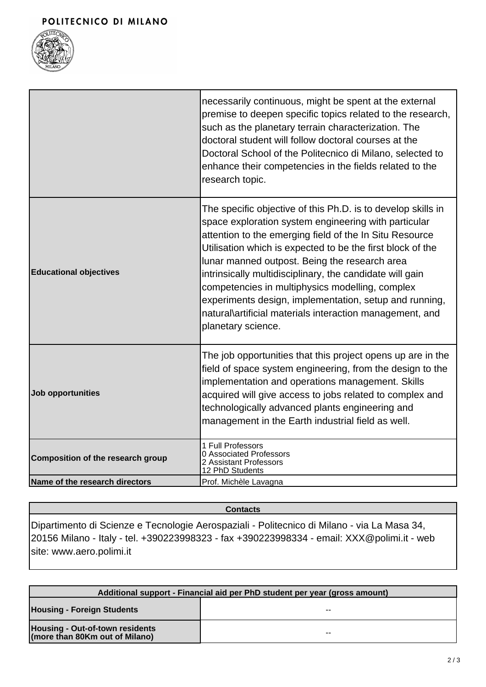### POLITECNICO DI MILANO



|                                   | necessarily continuous, might be spent at the external<br>premise to deepen specific topics related to the research,<br>such as the planetary terrain characterization. The<br>doctoral student will follow doctoral courses at the<br>Doctoral School of the Politecnico di Milano, selected to<br>enhance their competencies in the fields related to the<br>research topic.                                                                                                                                                                            |
|-----------------------------------|-----------------------------------------------------------------------------------------------------------------------------------------------------------------------------------------------------------------------------------------------------------------------------------------------------------------------------------------------------------------------------------------------------------------------------------------------------------------------------------------------------------------------------------------------------------|
| <b>Educational objectives</b>     | The specific objective of this Ph.D. is to develop skills in<br>space exploration system engineering with particular<br>attention to the emerging field of the In Situ Resource<br>Utilisation which is expected to be the first block of the<br>lunar manned outpost. Being the research area<br>intrinsically multidisciplinary, the candidate will gain<br>competencies in multiphysics modelling, complex<br>experiments design, implementation, setup and running,<br>natural\artificial materials interaction management, and<br>planetary science. |
| Job opportunities                 | The job opportunities that this project opens up are in the<br>field of space system engineering, from the design to the<br>implementation and operations management. Skills<br>acquired will give access to jobs related to complex and<br>technologically advanced plants engineering and<br>management in the Earth industrial field as well.                                                                                                                                                                                                          |
| Composition of the research group | 1 Full Professors<br>0 Associated Professors<br>2 Assistant Professors<br>12 PhD Students                                                                                                                                                                                                                                                                                                                                                                                                                                                                 |
| Name of the research directors    | Prof. Michèle Lavagna                                                                                                                                                                                                                                                                                                                                                                                                                                                                                                                                     |

### **Contacts**

Dipartimento di Scienze e Tecnologie Aerospaziali - Politecnico di Milano - via La Masa 34, 20156 Milano - Italy - tel. +390223998323 - fax +390223998334 - email: XXX@polimi.it - web site: www.aero.polimi.it

| Additional support - Financial aid per PhD student per year (gross amount) |    |
|----------------------------------------------------------------------------|----|
| <b>Housing - Foreign Students</b>                                          | -- |
| Housing - Out-of-town residents<br>(more than 80Km out of Milano)          | -- |